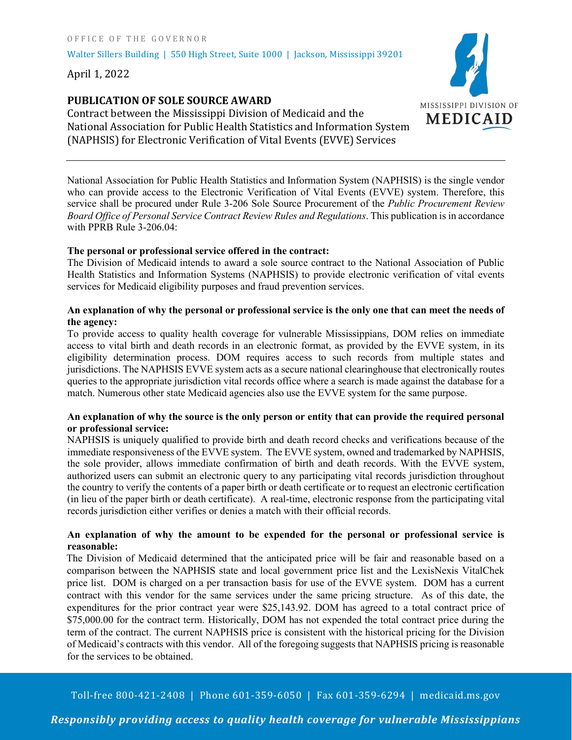Walter Sillers Building | 550 High Street, Suite 1000 | Jackson, Mississippi 39201

April 1, 2022

# **PUBLICATION OF SOLE SOURCE AWARD**

Contract between the Mississippi Division of Medicaid and the National Association for Public Health Statistics and Information System (NAPHSIS) for Electronic Verification of Vital Events (EVVE) Services

National Association for Public Health Statistics and Information System (NAPHSIS) is the single vendor who can provide access to the Electronic Verification of Vital Events (EVVE) system. Therefore, this service shall be procured under Rule 3-206 Sole Source Procurement of the *Public Procurement Review Board Office of Personal Service Contract Review Rules and Regulations*. This publication is in accordance with PPRB Rule 3-206.04:

### **The personal or professional service offered in the contract:**

The Division of Medicaid intends to award a sole source contract to the National Association of Public Health Statistics and Information Systems (NAPHSIS) to provide electronic verification of vital events services for Medicaid eligibility purposes and fraud prevention services.

# **An explanation of why the personal or professional service is the only one that can meet the needs of the agency:**

To provide access to quality health coverage for vulnerable Mississippians, DOM relies on immediate access to vital birth and death records in an electronic format, as provided by the EVVE system, in its eligibility determination process. DOM requires access to such records from multiple states and jurisdictions. The NAPHSIS EVVE system acts as a secure national clearinghouse that electronically routes queries to the appropriate jurisdiction vital records office where a search is made against the database for a match. Numerous other state Medicaid agencies also use the EVVE system for the same purpose.

## **An explanation of why the source is the only person or entity that can provide the required personal or professional service:**

NAPHSIS is uniquely qualified to provide birth and death record checks and verifications because of the immediate responsiveness of the EVVE system. The EVVE system, owned and trademarked by NAPHSIS, the sole provider, allows immediate confirmation of birth and death records. With the EVVE system, authorized users can submit an electronic query to any participating vital records jurisdiction throughout the country to verify the contents of a paper birth or death certificate or to request an electronic certification (in lieu of the paper birth or death certificate). A real-time, electronic response from the participating vital records jurisdiction either verifies or denies a match with their official records.

# **An explanation of why the amount to be expended for the personal or professional service is reasonable:**

The Division of Medicaid determined that the anticipated price will be fair and reasonable based on a comparison between the NAPHSIS state and local government price list and the LexisNexis VitalChek price list. DOM is charged on a per transaction basis for use of the EVVE system. DOM has a current contract with this vendor for the same services under the same pricing structure. As of this date, the expenditures for the prior contract year were \$25,143.92. DOM has agreed to a total contract price of \$75,000.00 for the contract term. Historically, DOM has not expended the total contract price during the term of the contract. The current NAPHSIS price is consistent with the historical pricing for the Division of Medicaid's contracts with this vendor. All of the foregoing suggests that NAPHSIS pricing is reasonable for the services to be obtained.

Toll-free 800-421-2408 | Phone 601-359-6050 | Fax 601-359-6294 | medicaid.ms.gov



# *Responsibly providing access to quality health coverage for vulnerable Mississippians*